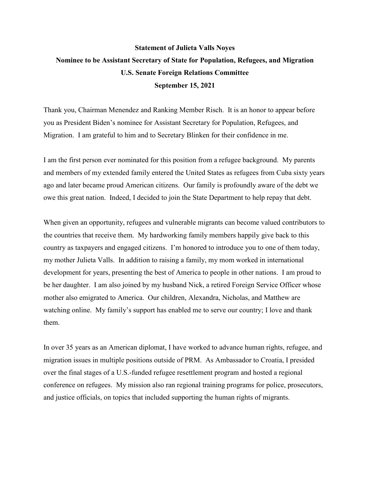## **Statement of Julieta Valls Noyes Nominee to be Assistant Secretary of State for Population, Refugees, and Migration U.S. Senate Foreign Relations Committee September 15, 2021**

Thank you, Chairman Menendez and Ranking Member Risch. It is an honor to appear before you as President Biden's nominee for Assistant Secretary for Population, Refugees, and Migration. I am grateful to him and to Secretary Blinken for their confidence in me.

I am the first person ever nominated for this position from a refugee background. My parents and members of my extended family entered the United States as refugees from Cuba sixty years ago and later became proud American citizens. Our family is profoundly aware of the debt we owe this great nation. Indeed, I decided to join the State Department to help repay that debt.

When given an opportunity, refugees and vulnerable migrants can become valued contributors to the countries that receive them. My hardworking family members happily give back to this country as taxpayers and engaged citizens. I'm honored to introduce you to one of them today, my mother Julieta Valls. In addition to raising a family, my mom worked in international development for years, presenting the best of America to people in other nations. I am proud to be her daughter. I am also joined by my husband Nick, a retired Foreign Service Officer whose mother also emigrated to America. Our children, Alexandra, Nicholas, and Matthew are watching online. My family's support has enabled me to serve our country; I love and thank them.

In over 35 years as an American diplomat, I have worked to advance human rights, refugee, and migration issues in multiple positions outside of PRM. As Ambassador to Croatia, I presided over the final stages of a U.S.-funded refugee resettlement program and hosted a regional conference on refugees. My mission also ran regional training programs for police, prosecutors, and justice officials, on topics that included supporting the human rights of migrants.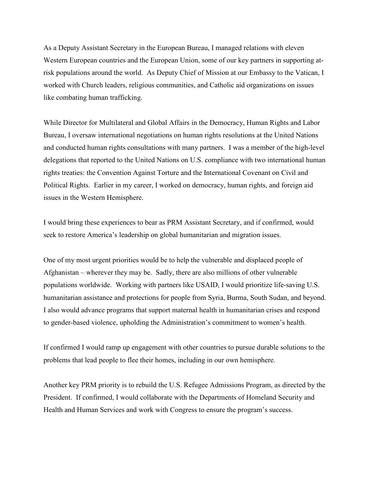As a Deputy Assistant Secretary in the European Bureau, I managed relations with eleven Western European countries and the European Union, some of our key partners in supporting atrisk populations around the world. As Deputy Chief of Mission at our Embassy to the Vatican, I worked with Church leaders, religious communities, and Catholic aid organizations on issues like combating human trafficking.

While Director for Multilateral and Global Affairs in the Democracy, Human Rights and Labor Bureau, I oversaw international negotiations on human rights resolutions at the United Nations and conducted human rights consultations with many partners. I was a member of the high-level delegations that reported to the United Nations on U.S. compliance with two international human rights treaties: the Convention Against Torture and the International Covenant on Civil and Political Rights. Earlier in my career, I worked on democracy, human rights, and foreign aid issues in the Western Hemisphere.

I would bring these experiences to bear as PRM Assistant Secretary, and if confirmed, would seek to restore America's leadership on global humanitarian and migration issues.

One of my most urgent priorities would be to help the vulnerable and displaced people of Afghanistan – wherever they may be. Sadly, there are also millions of other vulnerable populations worldwide. Working with partners like USAID, I would prioritize life-saving U.S. humanitarian assistance and protections for people from Syria, Burma, South Sudan, and beyond. I also would advance programs that support maternal health in humanitarian crises and respond to gender-based violence, upholding the Administration's commitment to women's health.

If confirmed I would ramp up engagement with other countries to pursue durable solutions to the problems that lead people to flee their homes, including in our own hemisphere.

Another key PRM priority is to rebuild the U.S. Refugee Admissions Program, as directed by the President. If confirmed, I would collaborate with the Departments of Homeland Security and Health and Human Services and work with Congress to ensure the program's success.